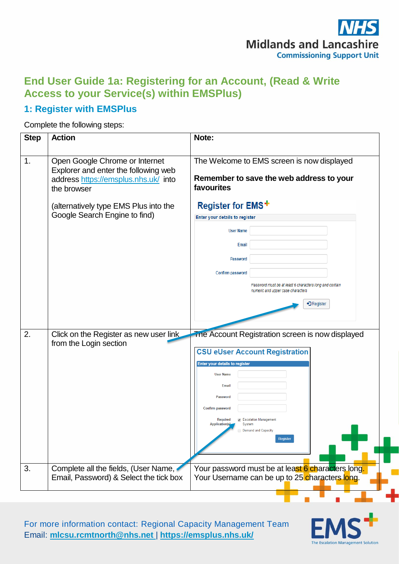

### **End User Guide 1a: Registering for an Account, (Read & Write Access to your Service(s) within EMSPlus)**

### **1: Register with EMSPlus**

Complete the following steps:

| <b>Step</b> | <b>Action</b>                                                                                                                 | Note:                                                                                                                                                                                                                                                                                                                                  |  |  |
|-------------|-------------------------------------------------------------------------------------------------------------------------------|----------------------------------------------------------------------------------------------------------------------------------------------------------------------------------------------------------------------------------------------------------------------------------------------------------------------------------------|--|--|
| 1.          | Open Google Chrome or Internet<br>Explorer and enter the following web<br>address https://emsplus.nhs.uk/ into<br>the browser | The Welcome to EMS screen is now displayed<br>Remember to save the web address to your<br>favourites                                                                                                                                                                                                                                   |  |  |
|             | Register for EMS <sup>+</sup><br>(alternatively type EMS Plus into the                                                        |                                                                                                                                                                                                                                                                                                                                        |  |  |
|             | Google Search Engine to find)                                                                                                 | Enter your details to register                                                                                                                                                                                                                                                                                                         |  |  |
|             |                                                                                                                               | <b>User Name</b>                                                                                                                                                                                                                                                                                                                       |  |  |
|             |                                                                                                                               | <b>Email</b>                                                                                                                                                                                                                                                                                                                           |  |  |
|             |                                                                                                                               | Password                                                                                                                                                                                                                                                                                                                               |  |  |
|             |                                                                                                                               | Confirm password                                                                                                                                                                                                                                                                                                                       |  |  |
|             |                                                                                                                               | Password must be at least 6 characters long and contain<br>numeric and upper case characters                                                                                                                                                                                                                                           |  |  |
|             |                                                                                                                               | • Register                                                                                                                                                                                                                                                                                                                             |  |  |
|             |                                                                                                                               |                                                                                                                                                                                                                                                                                                                                        |  |  |
| 2.          | Click on the Register as new user link<br>from the Login section                                                              | The Account Registration screen is now displayed<br><b>CSU eUser Account Registration</b><br><b>Enter your details to register</b><br><b>User Name</b><br><b>Email</b><br>Password<br><b>Confirm password</b><br>Escalation Management<br><b>Required</b><br><b>Application(s)</b><br>System<br><b>Demand and Capacity</b><br>Register |  |  |
| 3.          | Complete all the fields, (User Name,                                                                                          | Your password must be at least 6 characters long.                                                                                                                                                                                                                                                                                      |  |  |
|             | Email, Password) & Select the tick box                                                                                        | Your Username can be up to 25 characters long.                                                                                                                                                                                                                                                                                         |  |  |
|             |                                                                                                                               |                                                                                                                                                                                                                                                                                                                                        |  |  |

For more information contact: Regional Capacity Management Team Email: **[mlcsu.rcmtnorth@nhs.net](mailto:mlcsu.rcmtnorth@nhs.net)** | **<https://emsplus.nhs.uk/>**

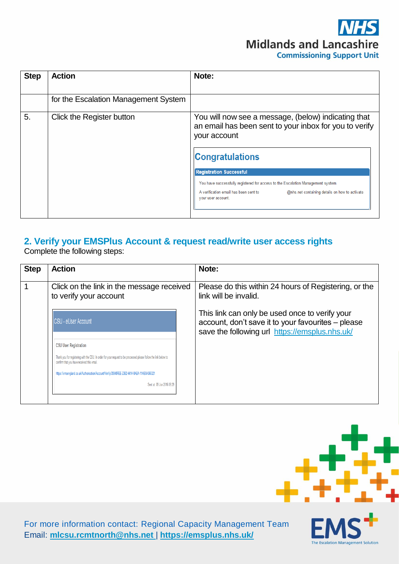# **Midlands and Lancashire Commissioning Support Unit**

The Escalation Management Solution

| <b>Step</b> | <b>Action</b>                        | Note:                                                                                                                                                                                                                                                                                                                                                                                         |
|-------------|--------------------------------------|-----------------------------------------------------------------------------------------------------------------------------------------------------------------------------------------------------------------------------------------------------------------------------------------------------------------------------------------------------------------------------------------------|
|             | for the Escalation Management System |                                                                                                                                                                                                                                                                                                                                                                                               |
| 5.          | Click the Register button            | You will now see a message, (below) indicating that<br>an email has been sent to your inbox for you to verify<br>your account<br><b>Congratulations</b><br><b>Registration Successful</b><br>You have successfully registered for access to the Escalation Management system.<br>A verification email has been sent to<br>@nhs.net containing details on how to activate<br>your user account |
|             |                                      |                                                                                                                                                                                                                                                                                                                                                                                               |

### **2. Verify your EMSPlus Account & request read/write user access rights**

Complete the following steps:

| <b>Step</b> | <b>Action</b>                                                                                                                                                   | Note:                                                                                                                                                  |
|-------------|-----------------------------------------------------------------------------------------------------------------------------------------------------------------|--------------------------------------------------------------------------------------------------------------------------------------------------------|
|             | Click on the link in the message received<br>to verify your account                                                                                             | Please do this within 24 hours of Registering, or the<br>link will be invalid.                                                                         |
|             | <b>CSU - eUser Account</b>                                                                                                                                      | This link can only be used once to verify your<br>account, don't save it to your favourites – please<br>save the following url https://emsplus.nhs.uk/ |
|             | <b>CSU User Registration</b>                                                                                                                                    |                                                                                                                                                        |
|             | Thank you for registering with the CSU. In order for your request to be processed please follow the link below to<br>confirm that you have received this email. |                                                                                                                                                        |
|             | https://emsengland.co.uk/Authorisation/Account/Verify/09348FEE-23B2-441A-8ABA-11AB0A068321                                                                      |                                                                                                                                                        |
|             | Sent at: 09 Jun 2016 09:29                                                                                                                                      |                                                                                                                                                        |
|             |                                                                                                                                                                 |                                                                                                                                                        |

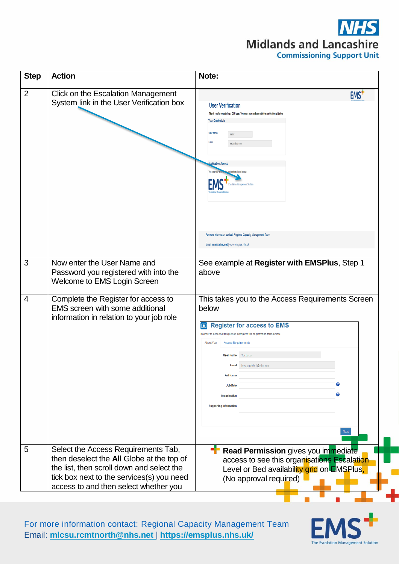# **Midlands and Lancashire Commissioning Support Unit**

| <b>Step</b>    | <b>Action</b>                                                                                                                                                                                                       | Note:                                                                                                                                                                                                                                                                                                                                                                                                                    |
|----------------|---------------------------------------------------------------------------------------------------------------------------------------------------------------------------------------------------------------------|--------------------------------------------------------------------------------------------------------------------------------------------------------------------------------------------------------------------------------------------------------------------------------------------------------------------------------------------------------------------------------------------------------------------------|
| $\overline{2}$ | Click on the Escalation Management<br>System link in the User Verification box                                                                                                                                      | EMS <sup>+</sup><br><b>User Verification</b><br>Thank you for registering a CSU user. You must now register with the application(s) below<br><b>Your Credentials</b><br><b>User Nam</b><br>Email<br>aatest@aa.com<br>polication Access<br>olications listed below<br>For more information contact: Regional Capacity Management Team<br>Email: rcmt@nhs.net   www.emsplus.nhs.uk                                         |
| 3              | Now enter the User Name and<br>Password you registered with into the<br>Welcome to EMS Login Screen                                                                                                                 | See example at Register with EMSPlus, Step 1<br>above                                                                                                                                                                                                                                                                                                                                                                    |
| $\overline{4}$ | Complete the Register for access to<br>EMS screen with some additional<br>information in relation to your job role                                                                                                  | This takes you to the Access Requirements Screen<br>below<br><b>Register for access to EMS</b><br>$\boxed{r}$<br>In order to access EMS please complete the registration form below<br><b>About You</b><br><b>Access Requirements</b><br>Testuser<br><b>User Name</b><br>kay.godwin1@nhs.net<br><b>Email</b><br><b>Full Name</b><br>2<br><b>Job Role</b><br>Organisation<br><b>Supporting Information</b><br><b>Next</b> |
| 5              | Select the Access Requirements Tab,<br>then deselect the All Globe at the top of<br>the list, then scroll down and select the<br>tick box next to the services(s) you need<br>access to and then select whether you | Read Permission gives you immediate<br>access to see this organisations Escalation<br>Level or Bed availability grid on EMSPlus,<br>(No approval required)                                                                                                                                                                                                                                                               |

For more information contact: Regional Capacity Management Team Email: **[mlcsu.rcmtnorth@nhs.net](mailto:mlcsu.rcmtnorth@nhs.net)** | **<https://emsplus.nhs.uk/>**

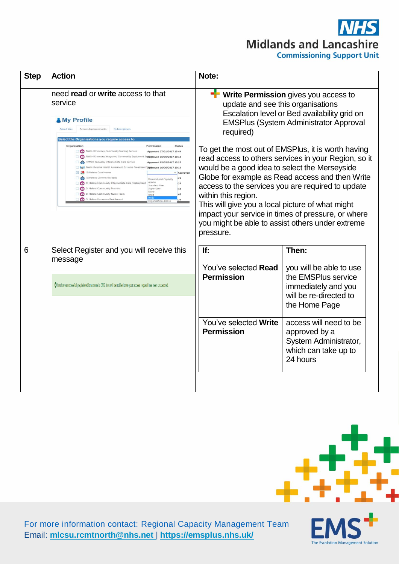## **Midlands and Lancashire Commissioning Support Unit**

| <b>Step</b> | <b>Action</b>                                                                                                                                                                                                                                                                                                                                                                                                                                                                                                                                                                                                                                                                                    | Note:                                                                                                                                                                                                                                                                                                                                                                                                                                                                                                                                                                                                                                                                 |                                                                                                                  |  |
|-------------|--------------------------------------------------------------------------------------------------------------------------------------------------------------------------------------------------------------------------------------------------------------------------------------------------------------------------------------------------------------------------------------------------------------------------------------------------------------------------------------------------------------------------------------------------------------------------------------------------------------------------------------------------------------------------------------------------|-----------------------------------------------------------------------------------------------------------------------------------------------------------------------------------------------------------------------------------------------------------------------------------------------------------------------------------------------------------------------------------------------------------------------------------------------------------------------------------------------------------------------------------------------------------------------------------------------------------------------------------------------------------------------|------------------------------------------------------------------------------------------------------------------|--|
|             | need read or write access to that<br>service<br><b>&amp; My Profile</b><br><b>Access Requirements</b><br><b>About You</b><br>Subscriptions<br>Select the Organisations you require access to                                                                                                                                                                                                                                                                                                                                                                                                                                                                                                     | ÷<br>Write Permission gives you access to<br>update and see this organisations<br>Escalation level or Bed availability grid on<br><b>EMSPlus (System Administrator Approval</b><br>required)<br>To get the most out of EMSPlus, it is worth having<br>read access to others services in your Region, so it<br>would be a good idea to select the Merseyside<br>Globe for example as Read access and then Write<br>access to the services you are required to update<br>within this region.<br>This will give you a local picture of what might<br>impact your service in times of pressure, or where<br>you might be able to assist others under extreme<br>pressure. |                                                                                                                  |  |
|             | Organisation<br>Permission<br>NWBH Knowsley Community Nursing Service<br>Approved 27/01/2017 15:44<br>NWBH Knowsley Integrated Community Equipr<br>Senggroved 16/06/2017 10:14<br>NWBH Knowsley Intermediate Care Service<br>Approved 05/05/2017 15:25<br>NWBH Mental Health Assesment & Home Treatment Tapproved 16/06/2017 10:14<br>St Helens Care Homes<br>* Approved<br>St Helens Community Beds<br>:21<br>Demand and Capacity<br><b>Admin</b><br>St Helens Community Intermediate Care (reablement)<br>$-29$<br>Standard User<br>St Helens Community Matrons<br>Super User<br>$-48$<br>None<br>St Helens Community Nurse Team<br>$-48$<br>St Helens Homecare Reablemen<br>Organisation Arts |                                                                                                                                                                                                                                                                                                                                                                                                                                                                                                                                                                                                                                                                       |                                                                                                                  |  |
| 6           | Select Register and you will receive this<br>message                                                                                                                                                                                                                                                                                                                                                                                                                                                                                                                                                                                                                                             | If:                                                                                                                                                                                                                                                                                                                                                                                                                                                                                                                                                                                                                                                                   | Then:                                                                                                            |  |
|             | O You have successfully registered for access to EMS. You will be notified once your access request has been processed.                                                                                                                                                                                                                                                                                                                                                                                                                                                                                                                                                                          | You've selected Read<br><b>Permission</b>                                                                                                                                                                                                                                                                                                                                                                                                                                                                                                                                                                                                                             | you will be able to use<br>the EMSPlus service<br>immediately and you<br>will be re-directed to<br>the Home Page |  |
|             |                                                                                                                                                                                                                                                                                                                                                                                                                                                                                                                                                                                                                                                                                                  | You've selected Write<br><b>Permission</b>                                                                                                                                                                                                                                                                                                                                                                                                                                                                                                                                                                                                                            | access will need to be<br>approved by a<br>System Administrator,<br>which can take up to<br>24 hours             |  |
|             |                                                                                                                                                                                                                                                                                                                                                                                                                                                                                                                                                                                                                                                                                                  |                                                                                                                                                                                                                                                                                                                                                                                                                                                                                                                                                                                                                                                                       |                                                                                                                  |  |



The Escalation Management Solution

For more information contact: Regional Capacity Management Team Email: **[mlcsu.rcmtnorth@nhs.net](mailto:mlcsu.rcmtnorth@nhs.net)** | **<https://emsplus.nhs.uk/>**